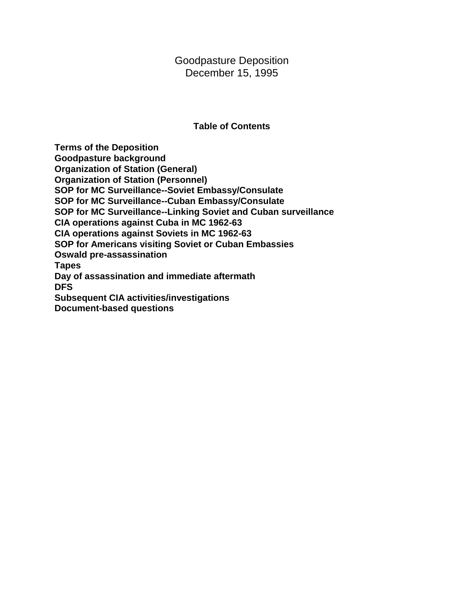Goodpasture Deposition December 15, 1995

#### **Table of Contents**

**Terms of the Deposition Goodpasture background Organization of Station (General) Organization of Station (Personnel) SOP for MC Surveillance--Soviet Embassy/Consulate SOP for MC Surveillance--Cuban Embassy/Consulate SOP for MC Surveillance--Linking Soviet and Cuban surveillance CIA operations against Cuba in MC 1962-63 CIA operations against Soviets in MC 1962-63 SOP for Americans visiting Soviet or Cuban Embassies Oswald pre-assassination Tapes Day of assassination and immediate aftermath DFS Subsequent CIA activities/investigations Document-based questions**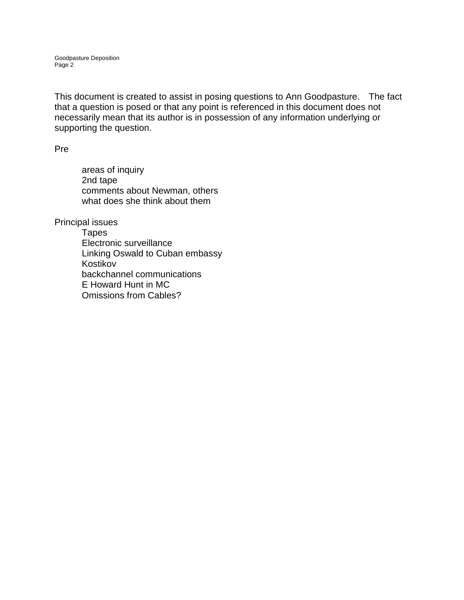This document is created to assist in posing questions to Ann Goodpasture. The fact that a question is posed or that any point is referenced in this document does not necessarily mean that its author is in possession of any information underlying or supporting the question.

Pre

areas of inquiry 2nd tape comments about Newman, others what does she think about them

Principal issues

Tapes Electronic surveillance Linking Oswald to Cuban embassy Kostikov backchannel communications E Howard Hunt in MC Omissions from Cables?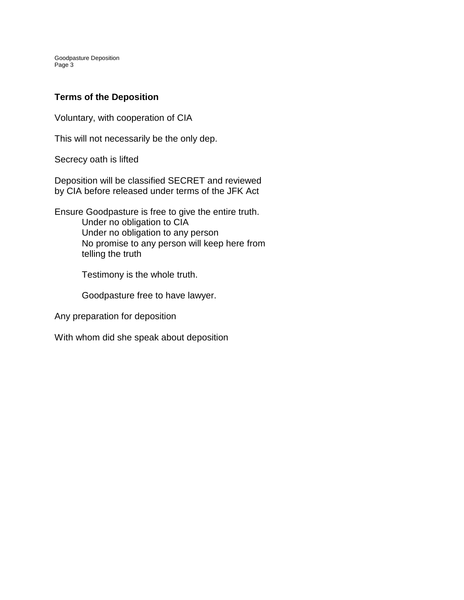# **Terms of the Deposition**

Voluntary, with cooperation of CIA

This will not necessarily be the only dep.

Secrecy oath is lifted

Deposition will be classified SECRET and reviewed by CIA before released under terms of the JFK Act

Ensure Goodpasture is free to give the entire truth. Under no obligation to CIA Under no obligation to any person No promise to any person will keep here from telling the truth

Testimony is the whole truth.

Goodpasture free to have lawyer.

Any preparation for deposition

With whom did she speak about deposition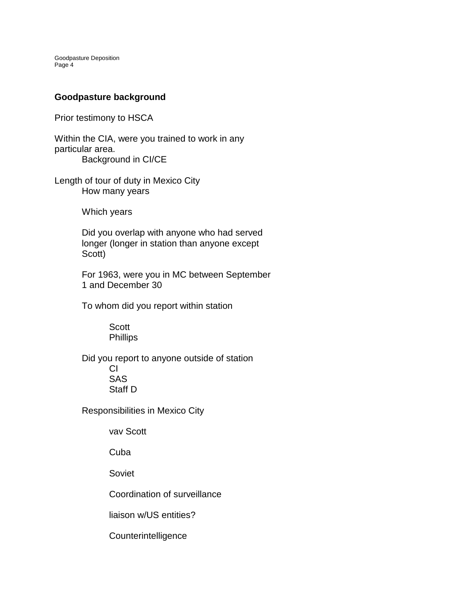### **Goodpasture background**

Prior testimony to HSCA

Within the CIA, were you trained to work in any particular area. Background in CI/CE

Length of tour of duty in Mexico City How many years

Which years

Did you overlap with anyone who had served longer (longer in station than anyone except Scott)

For 1963, were you in MC between September 1 and December 30

To whom did you report within station

**Scott Phillips** 

Did you report to anyone outside of station CI SAS Staff D

Responsibilities in Mexico City

vav Scott

Cuba

Soviet

Coordination of surveillance

liaison w/US entities?

**Counterintelligence**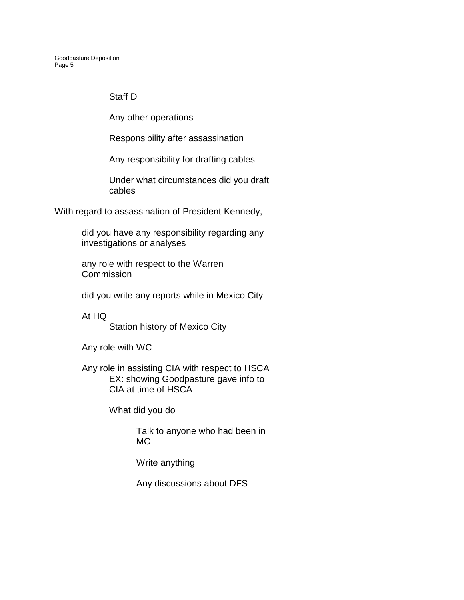### Staff D

Any other operations

Responsibility after assassination

Any responsibility for drafting cables

Under what circumstances did you draft cables

With regard to assassination of President Kennedy,

did you have any responsibility regarding any investigations or analyses

any role with respect to the Warren **Commission** 

did you write any reports while in Mexico City

At HQ Station history of Mexico City

Any role with WC

Any role in assisting CIA with respect to HSCA EX: showing Goodpasture gave info to CIA at time of HSCA

What did you do

Talk to anyone who had been in MC

Write anything

Any discussions about DFS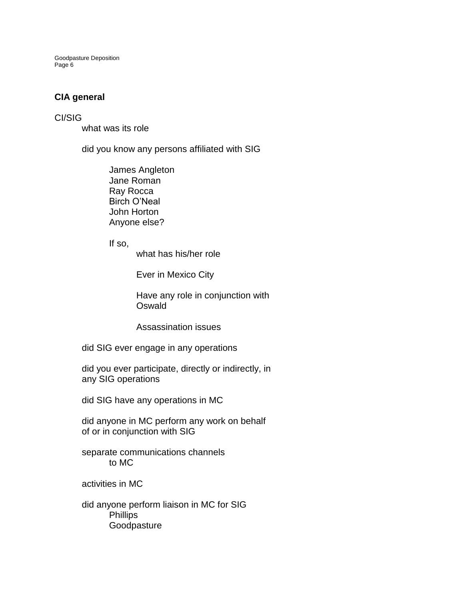### **CIA general**

#### CI/SIG

what was its role

did you know any persons affiliated with SIG

James Angleton Jane Roman Ray Rocca Birch O'Neal John Horton Anyone else?

If so,

what has his/her role

Ever in Mexico City

Have any role in conjunction with **Oswald** 

Assassination issues

did SIG ever engage in any operations

did you ever participate, directly or indirectly, in any SIG operations

did SIG have any operations in MC

did anyone in MC perform any work on behalf of or in conjunction with SIG

separate communications channels to MC

activities in MC

did anyone perform liaison in MC for SIG Phillips Goodpasture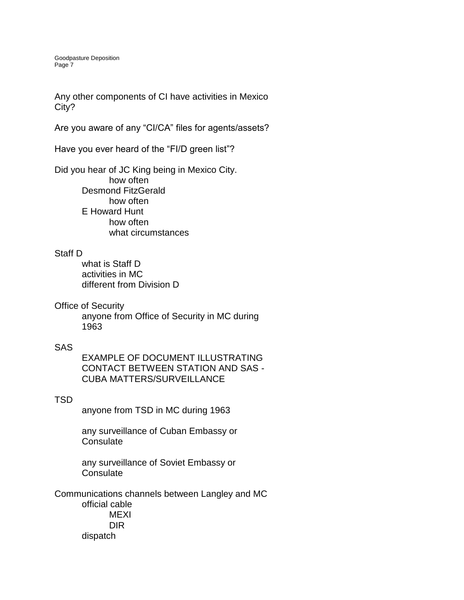Any other components of CI have activities in Mexico City?

Are you aware of any "CI/CA" files for agents/assets?

Have you ever heard of the "FI/D green list"?

Did you hear of JC King being in Mexico City. how often Desmond FitzGerald how often E Howard Hunt how often what circumstances

#### Staff D

what is Staff D activities in MC different from Division D

Office of Security

anyone from Office of Security in MC during 1963

#### SAS

EXAMPLE OF DOCUMENT ILLUSTRATING CONTACT BETWEEN STATION AND SAS - CUBA MATTERS/SURVEILLANCE

#### TSD

anyone from TSD in MC during 1963

any surveillance of Cuban Embassy or **Consulate** 

any surveillance of Soviet Embassy or **Consulate** 

Communications channels between Langley and MC official cable MEXI DIR dispatch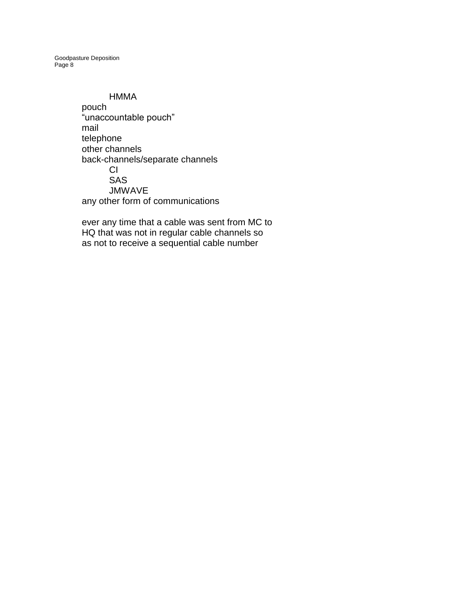#### HMMA

pouch "unaccountable pouch" mail telephone other channels back-channels/separate channels CI SAS JMWAVE any other form of communications

ever any time that a cable was sent from MC to HQ that was not in regular cable channels so as not to receive a sequential cable number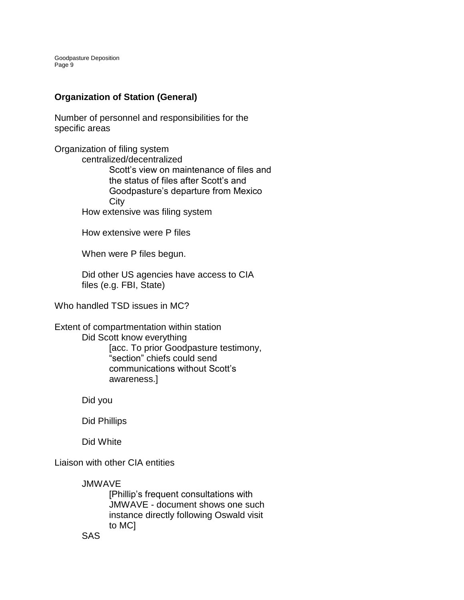# **Organization of Station (General)**

Number of personnel and responsibilities for the specific areas

Organization of filing system centralized/decentralized Scott's view on maintenance of files and the status of files after Scott's and Goodpasture's departure from Mexico **City** How extensive was filing system

How extensive were P files

When were P files begun.

Did other US agencies have access to CIA files (e.g. FBI, State)

Who handled TSD issues in MC?

Extent of compartmentation within station Did Scott know everything [acc. To prior Goodpasture testimony, "section" chiefs could send communications without Scott's awareness.]

Did you

Did Phillips

Did White

Liaison with other CIA entities

**JMWAVE** 

[Phillip's frequent consultations with JMWAVE - document shows one such instance directly following Oswald visit to MC]

SAS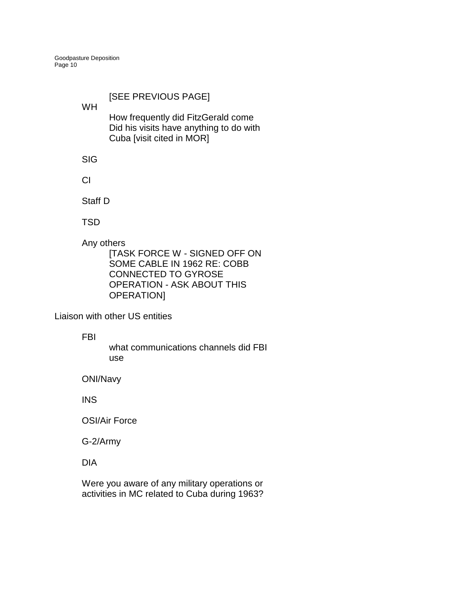# [SEE PREVIOUS PAGE]

WH

How frequently did FitzGerald come Did his visits have anything to do with Cuba [visit cited in MOR]

SIG

CI

Staff D

**TSD** 

Any others

[TASK FORCE W - SIGNED OFF ON SOME CABLE IN 1962 RE: COBB CONNECTED TO GYROSE OPERATION - ASK ABOUT THIS OPERATION]

Liaison with other US entities

FBI

what communications channels did FBI use

ONI/Navy

INS

OSI/Air Force

G-2/Army

DIA

Were you aware of any military operations or activities in MC related to Cuba during 1963?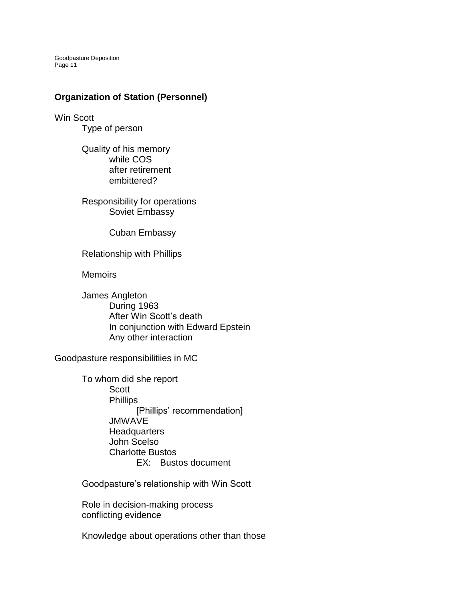#### **Organization of Station (Personnel)**

Win Scott Type of person

> Quality of his memory while COS after retirement embittered?

Responsibility for operations Soviet Embassy

Cuban Embassy

Relationship with Phillips

**Memoirs** 

James Angleton During 1963 After Win Scott's death In conjunction with Edward Epstein Any other interaction

Goodpasture responsibilitiies in MC

To whom did she report **Scott** Phillips [Phillips' recommendation] JMWAVE **Headquarters** John Scelso Charlotte Bustos EX: Bustos document

Goodpasture's relationship with Win Scott

Role in decision-making process conflicting evidence

Knowledge about operations other than those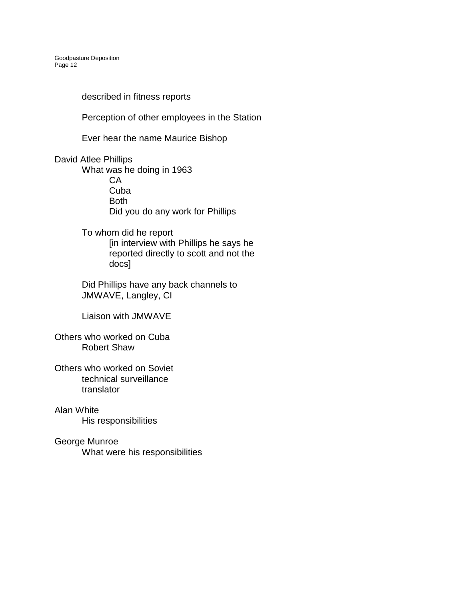described in fitness reports

Perception of other employees in the Station

Ever hear the name Maurice Bishop

David Atlee Phillips

What was he doing in 1963 CA Cuba Both Did you do any work for Phillips

To whom did he report [in interview with Phillips he says he reported directly to scott and not the docs]

Did Phillips have any back channels to JMWAVE, Langley, CI

Liaison with JMWAVE

Others who worked on Cuba Robert Shaw

Others who worked on Soviet technical surveillance translator

Alan White His responsibilities

George Munroe What were his responsibilities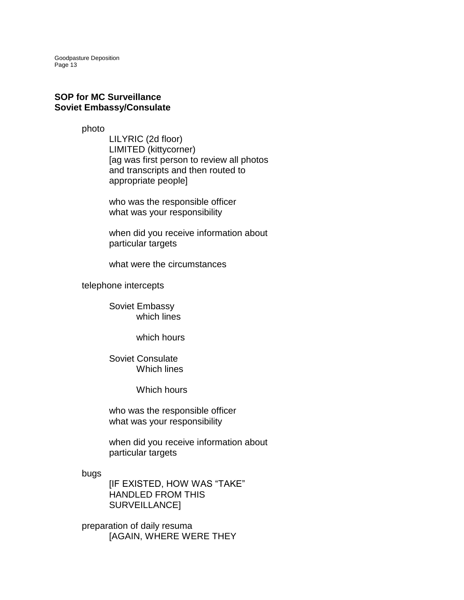#### **SOP for MC Surveillance Soviet Embassy/Consulate**

photo

LILYRIC (2d floor) LIMITED (kittycorner) [ag was first person to review all photos and transcripts and then routed to appropriate people]

who was the responsible officer what was your responsibility

when did you receive information about particular targets

what were the circumstances

telephone intercepts

Soviet Embassy which lines

which hours

Soviet Consulate Which lines

Which hours

who was the responsible officer what was your responsibility

when did you receive information about particular targets

bugs

[IF EXISTED, HOW WAS "TAKE" HANDLED FROM THIS SURVEILLANCE]

preparation of daily resuma [AGAIN, WHERE WERE THEY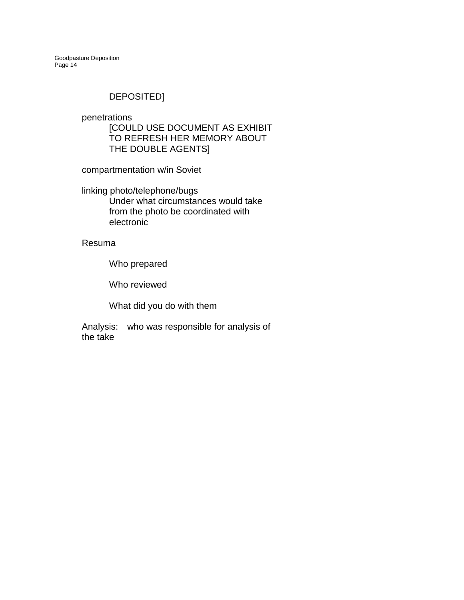# DEPOSITED]

penetrations

[COULD USE DOCUMENT AS EXHIBIT TO REFRESH HER MEMORY ABOUT THE DOUBLE AGENTS]

compartmentation w/in Soviet

linking photo/telephone/bugs Under what circumstances would take from the photo be coordinated with electronic

Resuma

Who prepared

Who reviewed

What did you do with them

Analysis: who was responsible for analysis of the take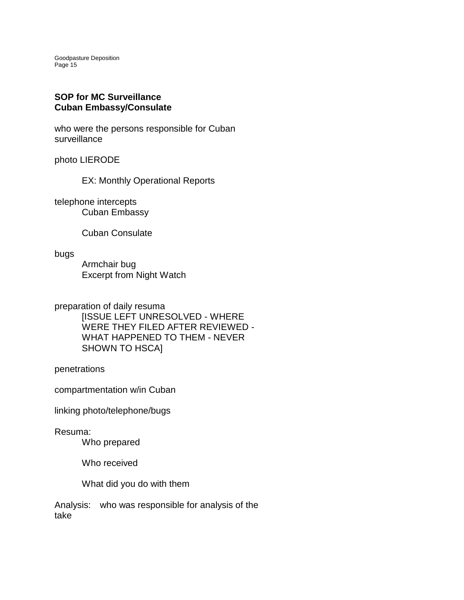#### **SOP for MC Surveillance Cuban Embassy/Consulate**

who were the persons responsible for Cuban surveillance

photo LIERODE

EX: Monthly Operational Reports

telephone intercepts Cuban Embassy

Cuban Consulate

bugs

Armchair bug Excerpt from Night Watch

preparation of daily resuma [ISSUE LEFT UNRESOLVED - WHERE WERE THEY FILED AFTER REVIEWED - WHAT HAPPENED TO THEM - NEVER SHOWN TO HSCA]

penetrations

compartmentation w/in Cuban

linking photo/telephone/bugs

Resuma:

Who prepared

Who received

What did you do with them

Analysis: who was responsible for analysis of the take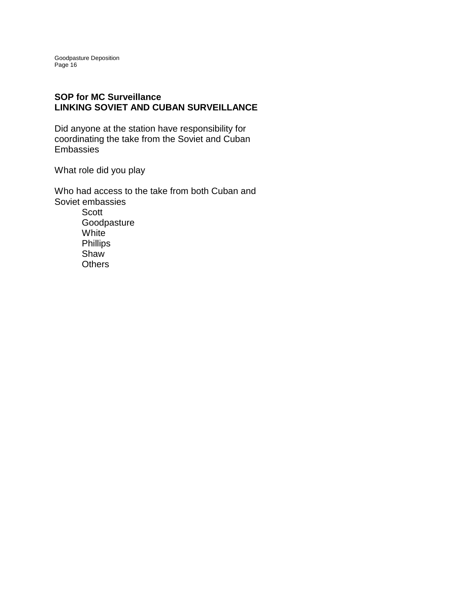### **SOP for MC Surveillance LINKING SOVIET AND CUBAN SURVEILLANCE**

Did anyone at the station have responsibility for coordinating the take from the Soviet and Cuban Embassies

What role did you play

Who had access to the take from both Cuban and Soviet embassies **Scott Goodpasture** White Phillips Shaw **Others**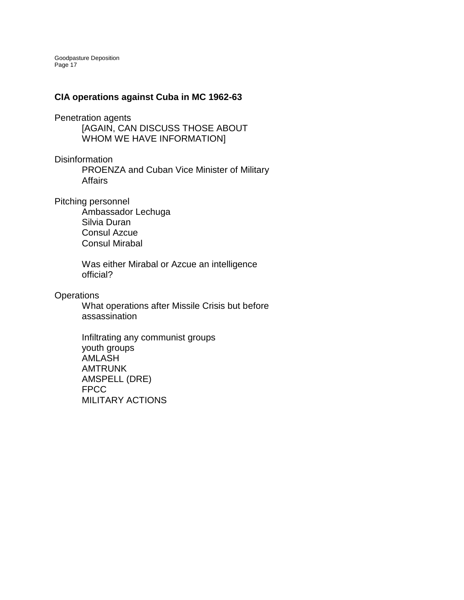### **CIA operations against Cuba in MC 1962-63**

Penetration agents

[AGAIN, CAN DISCUSS THOSE ABOUT WHOM WE HAVE INFORMATION]

**Disinformation** 

PROENZA and Cuban Vice Minister of Military **Affairs** 

Pitching personnel

Ambassador Lechuga Silvia Duran Consul Azcue Consul Mirabal

Was either Mirabal or Azcue an intelligence official?

**Operations** 

What operations after Missile Crisis but before assassination

Infiltrating any communist groups youth groups AMLASH AMTRUNK AMSPELL (DRE) FPCC MILITARY ACTIONS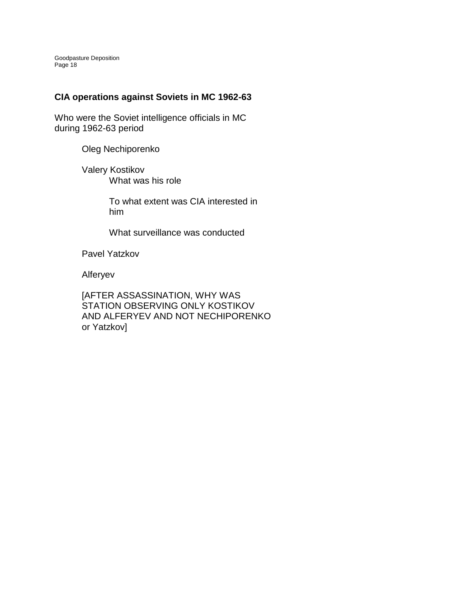# **CIA operations against Soviets in MC 1962-63**

Who were the Soviet intelligence officials in MC during 1962-63 period

Oleg Nechiporenko

Valery Kostikov What was his role

> To what extent was CIA interested in him

What surveillance was conducted

Pavel Yatzkov

Alferyev

[AFTER ASSASSINATION, WHY WAS STATION OBSERVING ONLY KOSTIKOV AND ALFERYEV AND NOT NECHIPORENKO or Yatzkov]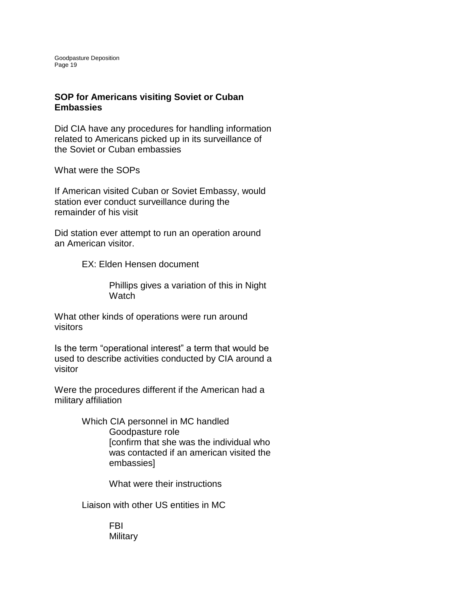### **SOP for Americans visiting Soviet or Cuban Embassies**

Did CIA have any procedures for handling information related to Americans picked up in its surveillance of the Soviet or Cuban embassies

What were the SOPs

If American visited Cuban or Soviet Embassy, would station ever conduct surveillance during the remainder of his visit

Did station ever attempt to run an operation around an American visitor.

EX: Elden Hensen document

Phillips gives a variation of this in Night **Watch** 

What other kinds of operations were run around visitors

Is the term "operational interest" a term that would be used to describe activities conducted by CIA around a visitor

Were the procedures different if the American had a military affiliation

> Which CIA personnel in MC handled Goodpasture role [confirm that she was the individual who was contacted if an american visited the embassies]

> > What were their instructions

Liaison with other US entities in MC

FBI **Military**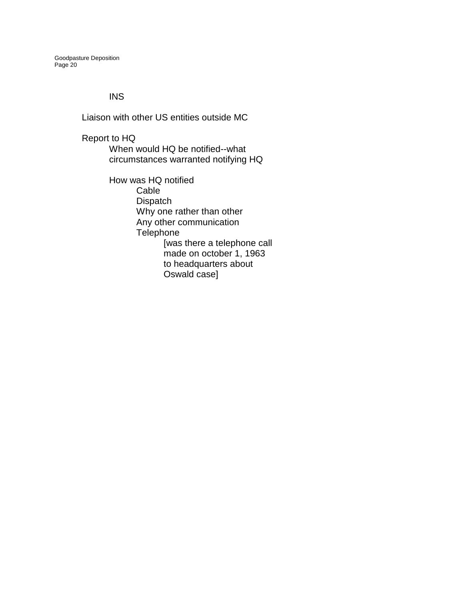#### INS

Liaison with other US entities outside MC

Report to HQ When would HQ be notified--what circumstances warranted notifying HQ

> How was HQ notified Cable **Dispatch** Why one rather than other Any other communication **Telephone** [was there a telephone call made on october 1, 1963 to headquarters about Oswald case]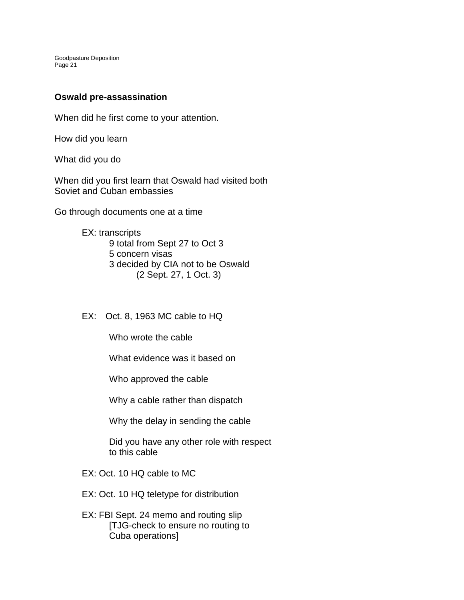### **Oswald pre-assassination**

When did he first come to your attention.

How did you learn

What did you do

When did you first learn that Oswald had visited both Soviet and Cuban embassies

Go through documents one at a time

EX: transcripts 9 total from Sept 27 to Oct 3 5 concern visas 3 decided by CIA not to be Oswald (2 Sept. 27, 1 Oct. 3)

EX: Oct. 8, 1963 MC cable to HQ

Who wrote the cable

What evidence was it based on

Who approved the cable

Why a cable rather than dispatch

Why the delay in sending the cable

Did you have any other role with respect to this cable

- EX: Oct. 10 HQ cable to MC
- EX: Oct. 10 HQ teletype for distribution
- EX: FBI Sept. 24 memo and routing slip [TJG-check to ensure no routing to Cuba operations]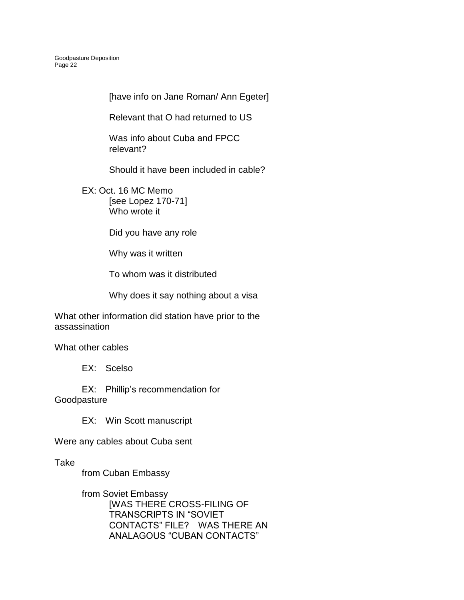[have info on Jane Roman/ Ann Egeter]

Relevant that O had returned to US

Was info about Cuba and FPCC relevant?

Should it have been included in cable?

EX: Oct. 16 MC Memo [see Lopez 170-71] Who wrote it

Did you have any role

Why was it written

To whom was it distributed

Why does it say nothing about a visa

What other information did station have prior to the assassination

What other cables

EX: Scelso

EX: Phillip's recommendation for **Goodpasture** 

EX: Win Scott manuscript

Were any cables about Cuba sent

Take

from Cuban Embassy

from Soviet Embassy [WAS THERE CROSS-FILING OF TRANSCRIPTS IN "SOVIET CONTACTS" FILE? WAS THERE AN ANALAGOUS "CUBAN CONTACTS"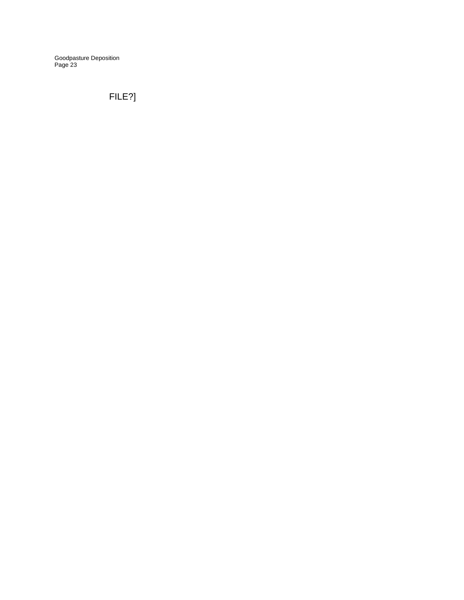# FILE?]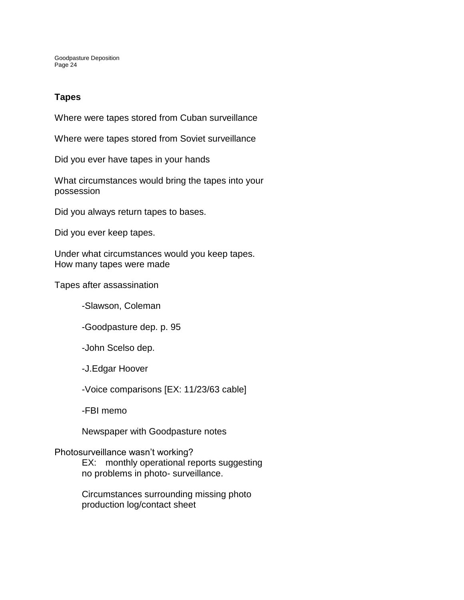# **Tapes**

Where were tapes stored from Cuban surveillance

Where were tapes stored from Soviet surveillance

Did you ever have tapes in your hands

What circumstances would bring the tapes into your possession

Did you always return tapes to bases.

Did you ever keep tapes.

Under what circumstances would you keep tapes. How many tapes were made

Tapes after assassination

-Slawson, Coleman

-Goodpasture dep. p. 95

-John Scelso dep.

-J.Edgar Hoover

-Voice comparisons [EX: 11/23/63 cable]

-FBI memo

Newspaper with Goodpasture notes

#### Photosurveillance wasn't working?

EX: monthly operational reports suggesting no problems in photo- surveillance.

Circumstances surrounding missing photo production log/contact sheet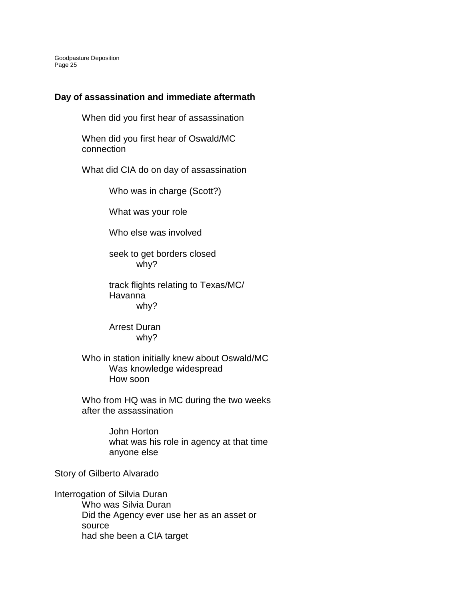#### **Day of assassination and immediate aftermath**

When did you first hear of assassination

When did you first hear of Oswald/MC connection

What did CIA do on day of assassination

Who was in charge (Scott?)

What was your role

Who else was involved

seek to get borders closed why?

track flights relating to Texas/MC/ Havanna why?

Arrest Duran why?

Who in station initially knew about Oswald/MC Was knowledge widespread How soon

Who from HQ was in MC during the two weeks after the assassination

> John Horton what was his role in agency at that time anyone else

Story of Gilberto Alvarado

Interrogation of Silvia Duran Who was Silvia Duran Did the Agency ever use her as an asset or source had she been a CIA target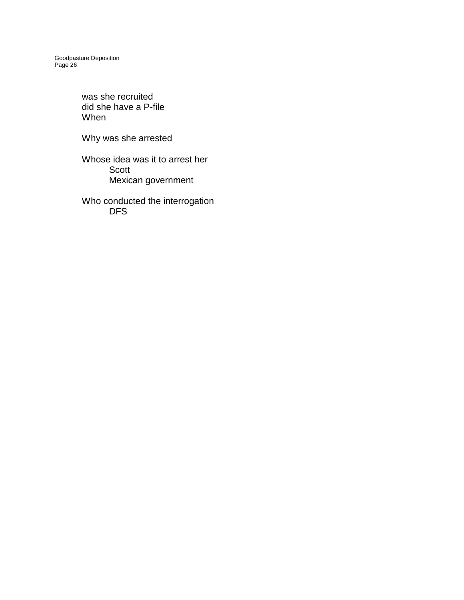> was she recruited did she have a P-file When

Why was she arrested

Whose idea was it to arrest her Scott Mexican government

Who conducted the interrogation DFS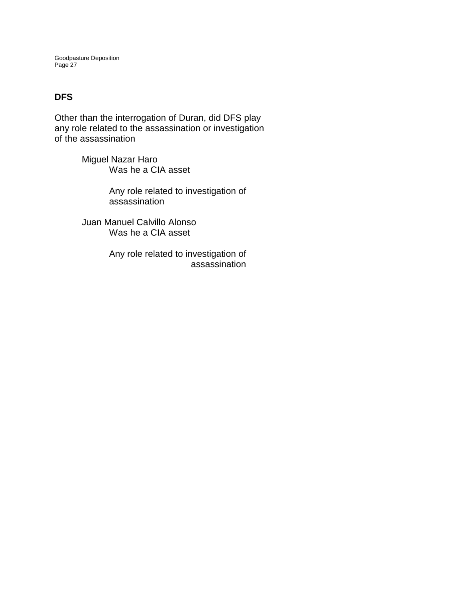# **DFS**

Other than the interrogation of Duran, did DFS play any role related to the assassination or investigation of the assassination

> Miguel Nazar Haro Was he a CIA asset

> > Any role related to investigation of assassination

Juan Manuel Calvillo Alonso Was he a CIA asset

> Any role related to investigation of assassination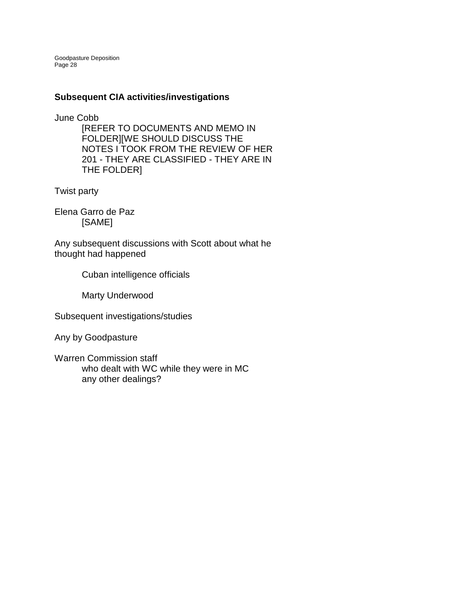### **Subsequent CIA activities/investigations**

June Cobb

[REFER TO DOCUMENTS AND MEMO IN FOLDER][WE SHOULD DISCUSS THE NOTES I TOOK FROM THE REVIEW OF HER 201 - THEY ARE CLASSIFIED - THEY ARE IN THE FOLDER]

Twist party

Elena Garro de Paz [SAME]

Any subsequent discussions with Scott about what he thought had happened

Cuban intelligence officials

Marty Underwood

Subsequent investigations/studies

Any by Goodpasture

Warren Commission staff who dealt with WC while they were in MC any other dealings?